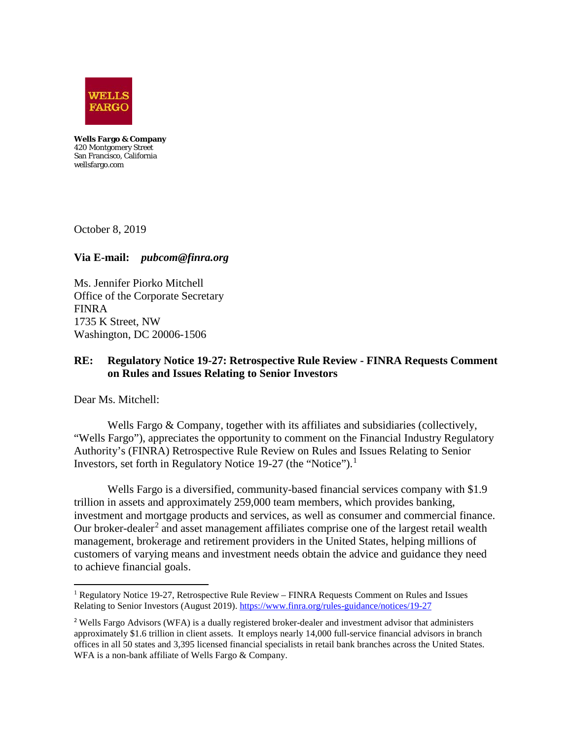

**Wells Fargo & Company**  420 Montgomery Street San Francisco, California wellsfargo.com

October 8, 2019

### **Via E-mail:** *pubcom@finra.org*

Ms. Jennifer Piorko Mitchell Office of the Corporate Secretary FINRA 1735 K Street, NW Washington, DC 20006-1506

## **RE: Regulatory Notice 19-27: Retrospective Rule Review - FINRA Requests Comment on Rules and Issues Relating to Senior Investors**

Dear Ms. Mitchell:

 $\overline{\phantom{a}}$ 

Wells Fargo & Company, together with its affiliates and subsidiaries (collectively, "Wells Fargo"), appreciates the opportunity to comment on the Financial Industry Regulatory Authority's (FINRA) Retrospective Rule Review on Rules and Issues Relating to Senior Investors, set forth in Regulatory Notice 19-27 (the "Notice"). [1](#page-0-0)

Wells Fargo is a diversified, community-based financial services company with \$1.9 trillion in assets and approximately 259,000 team members, which provides banking, investment and mortgage products and services, as well as consumer and commercial finance. Our broker-dealer<sup>[2](#page-0-1)</sup> and asset management affiliates comprise one of the largest retail wealth management, brokerage and retirement providers in the United States, helping millions of customers of varying means and investment needs obtain the advice and guidance they need to achieve financial goals.

<span id="page-0-0"></span><sup>&</sup>lt;sup>1</sup> Regulatory Notice 19-27, Retrospective Rule Review – FINRA Requests Comment on Rules and Issues Relating to Senior Investors (August 2019). <https://www.finra.org/rules-guidance/notices/19-27>

<span id="page-0-1"></span><sup>&</sup>lt;sup>2</sup> Wells Fargo Advisors (WFA) is a dually registered broker-dealer and investment advisor that administers approximately \$1.6 trillion in client assets. It employs nearly 14,000 full-service financial advisors in branch offices in all 50 states and 3,395 licensed financial specialists in retail bank branches across the United States. WFA is a non-bank affiliate of Wells Fargo & Company.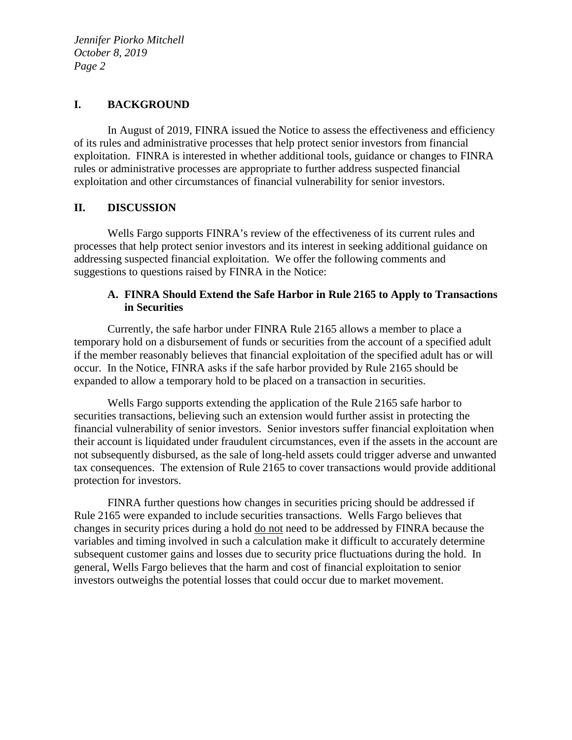### **I. BACKGROUND**

In August of 2019, FINRA issued the Notice to assess the effectiveness and efficiency of its rules and administrative processes that help protect senior investors from financial exploitation. FINRA is interested in whether additional tools, guidance or changes to FINRA rules or administrative processes are appropriate to further address suspected financial exploitation and other circumstances of financial vulnerability for senior investors.

### **II. DISCUSSION**

Wells Fargo supports FINRA's review of the effectiveness of its current rules and processes that help protect senior investors and its interest in seeking additional guidance on addressing suspected financial exploitation. We offer the following comments and suggestions to questions raised by FINRA in the Notice:

# **A. FINRA Should Extend the Safe Harbor in Rule 2165 to Apply to Transactions in Securities**

Currently, the safe harbor under FINRA Rule 2165 allows a member to place a temporary hold on a disbursement of funds or securities from the account of a specified adult if the member reasonably believes that financial exploitation of the specified adult has or will occur. In the Notice, FINRA asks if the safe harbor provided by Rule 2165 should be expanded to allow a temporary hold to be placed on a transaction in securities.

Wells Fargo supports extending the application of the Rule 2165 safe harbor to securities transactions, believing such an extension would further assist in protecting the financial vulnerability of senior investors. Senior investors suffer financial exploitation when their account is liquidated under fraudulent circumstances, even if the assets in the account are not subsequently disbursed, as the sale of long-held assets could trigger adverse and unwanted tax consequences. The extension of Rule 2165 to cover transactions would provide additional protection for investors.

FINRA further questions how changes in securities pricing should be addressed if Rule 2165 were expanded to include securities transactions. Wells Fargo believes that changes in security prices during a hold do not need to be addressed by FINRA because the variables and timing involved in such a calculation make it difficult to accurately determine subsequent customer gains and losses due to security price fluctuations during the hold. In general, Wells Fargo believes that the harm and cost of financial exploitation to senior investors outweighs the potential losses that could occur due to market movement.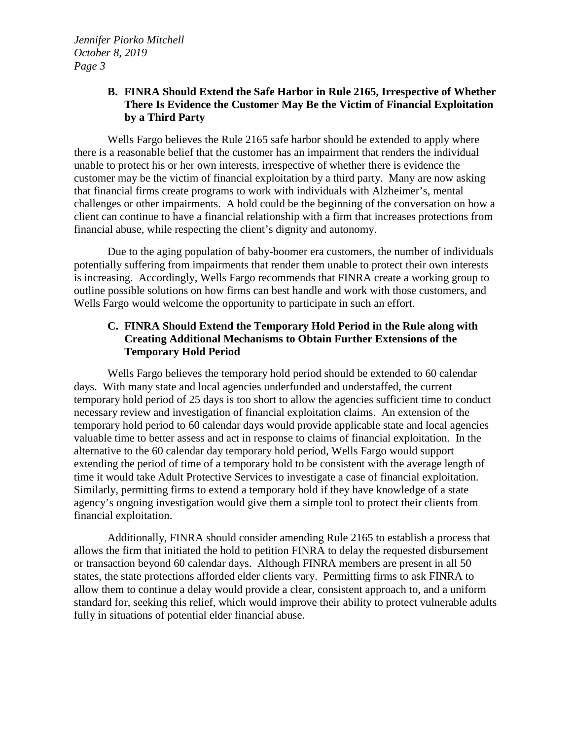# **B. FINRA Should Extend the Safe Harbor in Rule 2165, Irrespective of Whether There Is Evidence the Customer May Be the Victim of Financial Exploitation by a Third Party**

Wells Fargo believes the Rule 2165 safe harbor should be extended to apply where there is a reasonable belief that the customer has an impairment that renders the individual unable to protect his or her own interests, irrespective of whether there is evidence the customer may be the victim of financial exploitation by a third party. Many are now asking that financial firms create programs to work with individuals with Alzheimer's, mental challenges or other impairments. A hold could be the beginning of the conversation on how a client can continue to have a financial relationship with a firm that increases protections from financial abuse, while respecting the client's dignity and autonomy.

Due to the aging population of baby-boomer era customers, the number of individuals potentially suffering from impairments that render them unable to protect their own interests is increasing. Accordingly, Wells Fargo recommends that FINRA create a working group to outline possible solutions on how firms can best handle and work with those customers, and Wells Fargo would welcome the opportunity to participate in such an effort.

# **C. FINRA Should Extend the Temporary Hold Period in the Rule along with Creating Additional Mechanisms to Obtain Further Extensions of the Temporary Hold Period**

Wells Fargo believes the temporary hold period should be extended to 60 calendar days. With many state and local agencies underfunded and understaffed, the current temporary hold period of 25 days is too short to allow the agencies sufficient time to conduct necessary review and investigation of financial exploitation claims. An extension of the temporary hold period to 60 calendar days would provide applicable state and local agencies valuable time to better assess and act in response to claims of financial exploitation. In the alternative to the 60 calendar day temporary hold period, Wells Fargo would support extending the period of time of a temporary hold to be consistent with the average length of time it would take Adult Protective Services to investigate a case of financial exploitation. Similarly, permitting firms to extend a temporary hold if they have knowledge of a state agency's ongoing investigation would give them a simple tool to protect their clients from financial exploitation.

Additionally, FINRA should consider amending Rule 2165 to establish a process that allows the firm that initiated the hold to petition FINRA to delay the requested disbursement or transaction beyond 60 calendar days. Although FINRA members are present in all 50 states, the state protections afforded elder clients vary. Permitting firms to ask FINRA to allow them to continue a delay would provide a clear, consistent approach to, and a uniform standard for, seeking this relief, which would improve their ability to protect vulnerable adults fully in situations of potential elder financial abuse.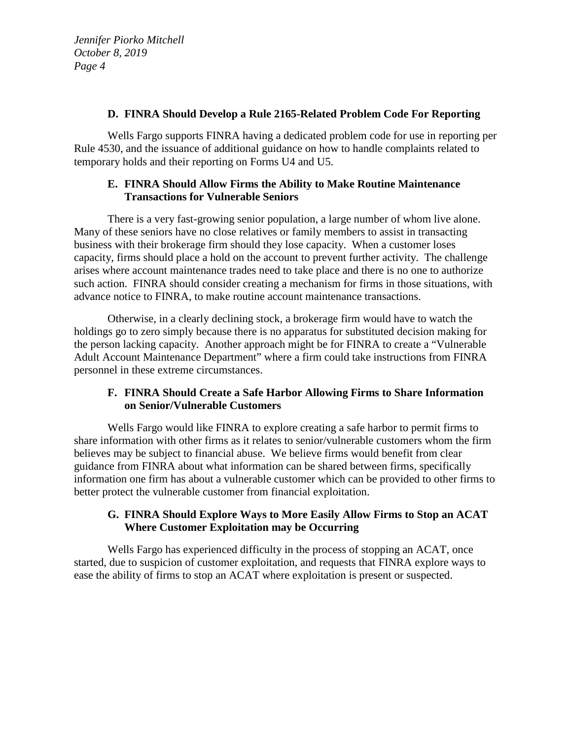### **D. FINRA Should Develop a Rule 2165-Related Problem Code For Reporting**

Wells Fargo supports FINRA having a dedicated problem code for use in reporting per Rule 4530, and the issuance of additional guidance on how to handle complaints related to temporary holds and their reporting on Forms U4 and U5.

## **E. FINRA Should Allow Firms the Ability to Make Routine Maintenance Transactions for Vulnerable Seniors**

There is a very fast-growing senior population, a large number of whom live alone. Many of these seniors have no close relatives or family members to assist in transacting business with their brokerage firm should they lose capacity. When a customer loses capacity, firms should place a hold on the account to prevent further activity. The challenge arises where account maintenance trades need to take place and there is no one to authorize such action. FINRA should consider creating a mechanism for firms in those situations, with advance notice to FINRA, to make routine account maintenance transactions.

Otherwise, in a clearly declining stock, a brokerage firm would have to watch the holdings go to zero simply because there is no apparatus for substituted decision making for the person lacking capacity. Another approach might be for FINRA to create a "Vulnerable Adult Account Maintenance Department" where a firm could take instructions from FINRA personnel in these extreme circumstances.

# **F. FINRA Should Create a Safe Harbor Allowing Firms to Share Information on Senior/Vulnerable Customers**

Wells Fargo would like FINRA to explore creating a safe harbor to permit firms to share information with other firms as it relates to senior/vulnerable customers whom the firm believes may be subject to financial abuse. We believe firms would benefit from clear guidance from FINRA about what information can be shared between firms, specifically information one firm has about a vulnerable customer which can be provided to other firms to better protect the vulnerable customer from financial exploitation.

# **G. FINRA Should Explore Ways to More Easily Allow Firms to Stop an ACAT Where Customer Exploitation may be Occurring**

Wells Fargo has experienced difficulty in the process of stopping an ACAT, once started, due to suspicion of customer exploitation, and requests that FINRA explore ways to ease the ability of firms to stop an ACAT where exploitation is present or suspected.